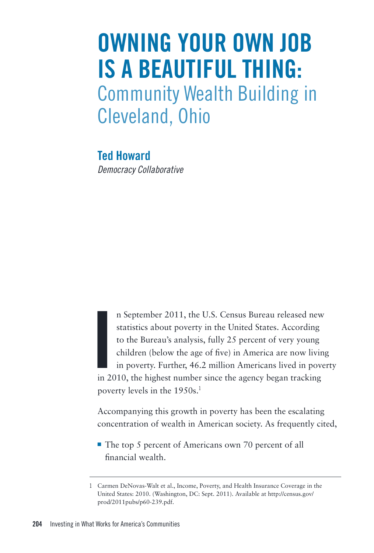## **Owning Your Own Job Is a Beautiful Thing:**  Community Wealth Building in Cleveland, Ohio

**Ted Howard** *Democracy Collaborative*

**I**<br> **I**<br> **I**<br> **I**<br> **I** n September 2011, the U.S. Census Bureau released new statistics about poverty in the United States. According to the Bureau's analysis, fully 25 percent of very young children (below the age of five) in America are now living in poverty. Further, 46.2 million Americans lived in poverty in 2010, the highest number since the agency began tracking poverty levels in the 1950s.<sup>1</sup>

Accompanying this growth in poverty has been the escalating concentration of wealth in American society. As frequently cited,

■ The top 5 percent of Americans own 70 percent of all financial wealth.

<sup>1</sup> Carmen DeNovas-Walt et al., Income, Poverty, and Health Insurance Coverage in the United States: 2010. (Washington, DC: Sept. 2011). Available at http://census.gov/ prod/2011pubs/p60-239.pdf.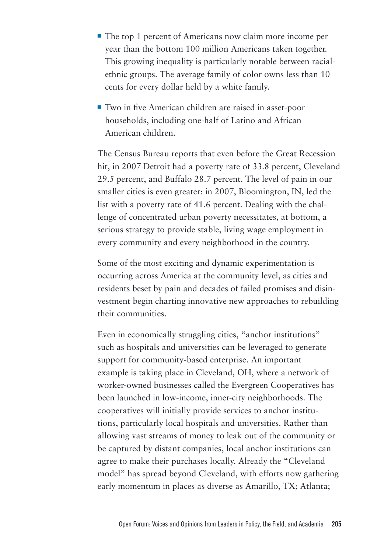- ¡ The top 1 percent of Americans now claim more income per year than the bottom 100 million Americans taken together. This growing inequality is particularly notable between racialethnic groups. The average family of color owns less than 10 cents for every dollar held by a white family.
- ¡ Two in five American children are raised in asset-poor households, including one-half of Latino and African American children.

The Census Bureau reports that even before the Great Recession hit, in 2007 Detroit had a poverty rate of 33.8 percent, Cleveland 29.5 percent, and Buffalo 28.7 percent. The level of pain in our smaller cities is even greater: in 2007, Bloomington, IN, led the list with a poverty rate of 41.6 percent. Dealing with the challenge of concentrated urban poverty necessitates, at bottom, a serious strategy to provide stable, living wage employment in every community and every neighborhood in the country.

Some of the most exciting and dynamic experimentation is occurring across America at the community level, as cities and residents beset by pain and decades of failed promises and disinvestment begin charting innovative new approaches to rebuilding their communities.

Even in economically struggling cities, "anchor institutions" such as hospitals and universities can be leveraged to generate support for community-based enterprise. An important example is taking place in Cleveland, OH, where a network of worker-owned businesses called the Evergreen Cooperatives has been launched in low-income, inner-city neighborhoods. The cooperatives will initially provide services to anchor institutions, particularly local hospitals and universities. Rather than allowing vast streams of money to leak out of the community or be captured by distant companies, local anchor institutions can agree to make their purchases locally. Already the "Cleveland model" has spread beyond Cleveland, with efforts now gathering early momentum in places as diverse as Amarillo, TX; Atlanta;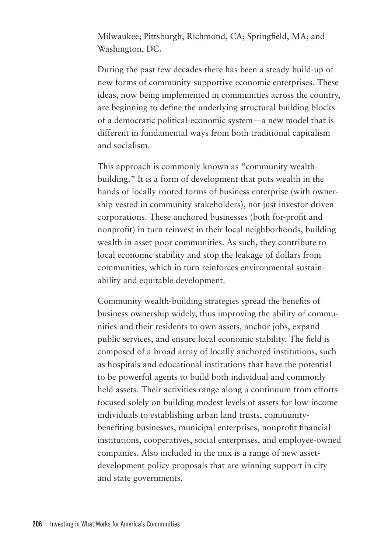Milwaukee; Pittsburgh; Richmond, CA; Springfield, MA; and Washington, DC.

During the past few decades there has been a steady build-up of new forms of community-supportive economic enterprises. These ideas, now being implemented in communities across the country, are beginning to define the underlying structural building blocks of a democratic political-economic system—a new model that is different in fundamental ways from both traditional capitalism and socialism.

This approach is commonly known as "community wealthbuilding." It is a form of development that puts wealth in the hands of locally rooted forms of business enterprise (with ownership vested in community stakeholders), not just investor-driven corporations. These anchored businesses (both for-profit and nonprofit) in turn reinvest in their local neighborhoods, building wealth in asset-poor communities. As such, they contribute to local economic stability and stop the leakage of dollars from communities, which in turn reinforces environmental sustainability and equitable development.

Community wealth-building strategies spread the benefits of business ownership widely, thus improving the ability of communities and their residents to own assets, anchor jobs, expand public services, and ensure local economic stability. The field is composed of a broad array of locally anchored institutions, such as hospitals and educational institutions that have the potential to be powerful agents to build both individual and commonly held assets. Their activities range along a continuum from efforts focused solely on building modest levels of assets for low-income individuals to establishing urban land trusts, communitybenefiting businesses, municipal enterprises, nonprofit financial institutions, cooperatives, social enterprises, and employee-owned companies. Also included in the mix is a range of new assetdevelopment policy proposals that are winning support in city and state governments.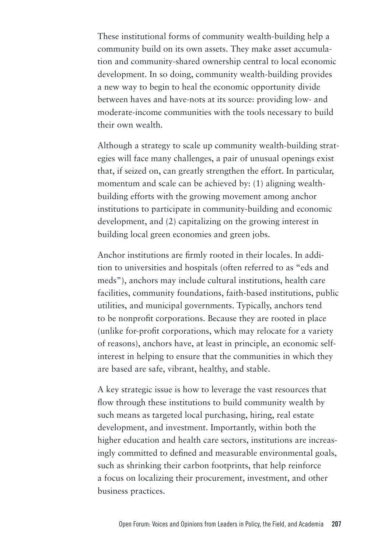These institutional forms of community wealth-building help a community build on its own assets. They make asset accumulation and community-shared ownership central to local economic development. In so doing, community wealth-building provides a new way to begin to heal the economic opportunity divide between haves and have-nots at its source: providing low- and moderate-income communities with the tools necessary to build their own wealth.

Although a strategy to scale up community wealth-building strategies will face many challenges, a pair of unusual openings exist that, if seized on, can greatly strengthen the effort. In particular, momentum and scale can be achieved by: (1) aligning wealthbuilding efforts with the growing movement among anchor institutions to participate in community-building and economic development, and (2) capitalizing on the growing interest in building local green economies and green jobs.

Anchor institutions are firmly rooted in their locales. In addition to universities and hospitals (often referred to as "eds and meds"), anchors may include cultural institutions, health care facilities, community foundations, faith-based institutions, public utilities, and municipal governments. Typically, anchors tend to be nonprofit corporations. Because they are rooted in place (unlike for-profit corporations, which may relocate for a variety of reasons), anchors have, at least in principle, an economic selfinterest in helping to ensure that the communities in which they are based are safe, vibrant, healthy, and stable.

A key strategic issue is how to leverage the vast resources that flow through these institutions to build community wealth by such means as targeted local purchasing, hiring, real estate development, and investment. Importantly, within both the higher education and health care sectors, institutions are increasingly committed to defined and measurable environmental goals, such as shrinking their carbon footprints, that help reinforce a focus on localizing their procurement, investment, and other business practices.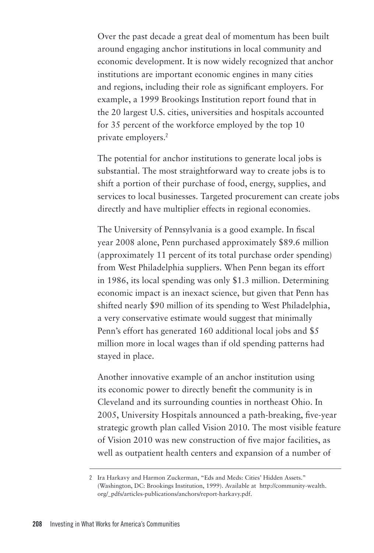Over the past decade a great deal of momentum has been built around engaging anchor institutions in local community and economic development. It is now widely recognized that anchor institutions are important economic engines in many cities and regions, including their role as significant employers. For example, a 1999 Brookings Institution report found that in the 20 largest U.S. cities, universities and hospitals accounted for 35 percent of the workforce employed by the top 10 private employers.<sup>2</sup>

The potential for anchor institutions to generate local jobs is substantial. The most straightforward way to create jobs is to shift a portion of their purchase of food, energy, supplies, and services to local businesses. Targeted procurement can create jobs directly and have multiplier effects in regional economies.

The University of Pennsylvania is a good example. In fiscal year 2008 alone, Penn purchased approximately \$89.6 million (approximately 11 percent of its total purchase order spending) from West Philadelphia suppliers. When Penn began its effort in 1986, its local spending was only \$1.3 million. Determining economic impact is an inexact science, but given that Penn has shifted nearly \$90 million of its spending to West Philadelphia, a very conservative estimate would suggest that minimally Penn's effort has generated 160 additional local jobs and \$5 million more in local wages than if old spending patterns had stayed in place.

Another innovative example of an anchor institution using its economic power to directly benefit the community is in Cleveland and its surrounding counties in northeast Ohio. In 2005, University Hospitals announced a path-breaking, five-year strategic growth plan called Vision 2010. The most visible feature of Vision 2010 was new construction of five major facilities, as well as outpatient health centers and expansion of a number of

<sup>2</sup> Ira Harkavy and Harmon Zuckerman, "Eds and Meds: Cities' Hidden Assets." (Washington, DC: Brookings Institution, 1999). Available at http://community-wealth. org/\_pdfs/articles-publications/anchors/report-harkavy.pdf.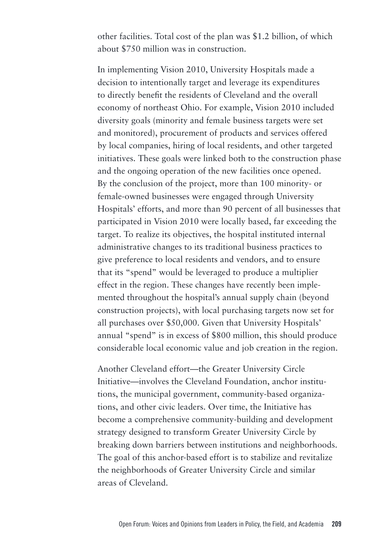other facilities. Total cost of the plan was \$1.2 billion, of which about \$750 million was in construction.

In implementing Vision 2010, University Hospitals made a decision to intentionally target and leverage its expenditures to directly benefit the residents of Cleveland and the overall economy of northeast Ohio. For example, Vision 2010 included diversity goals (minority and female business targets were set and monitored), procurement of products and services offered by local companies, hiring of local residents, and other targeted initiatives. These goals were linked both to the construction phase and the ongoing operation of the new facilities once opened. By the conclusion of the project, more than 100 minority- or female-owned businesses were engaged through University Hospitals' efforts, and more than 90 percent of all businesses that participated in Vision 2010 were locally based, far exceeding the target. To realize its objectives, the hospital instituted internal administrative changes to its traditional business practices to give preference to local residents and vendors, and to ensure that its "spend" would be leveraged to produce a multiplier effect in the region. These changes have recently been implemented throughout the hospital's annual supply chain (beyond construction projects), with local purchasing targets now set for all purchases over \$50,000. Given that University Hospitals' annual "spend" is in excess of \$800 million, this should produce considerable local economic value and job creation in the region.

Another Cleveland effort—the Greater University Circle Initiative—involves the Cleveland Foundation, anchor institutions, the municipal government, community-based organizations, and other civic leaders. Over time, the Initiative has become a comprehensive community-building and development strategy designed to transform Greater University Circle by breaking down barriers between institutions and neighborhoods. The goal of this anchor-based effort is to stabilize and revitalize the neighborhoods of Greater University Circle and similar areas of Cleveland.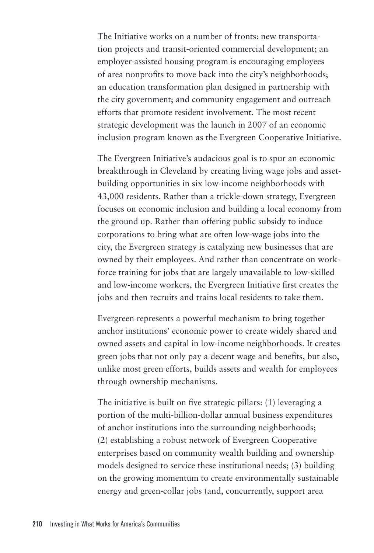The Initiative works on a number of fronts: new transportation projects and transit-oriented commercial development; an employer-assisted housing program is encouraging employees of area nonprofits to move back into the city's neighborhoods; an education transformation plan designed in partnership with the city government; and community engagement and outreach efforts that promote resident involvement. The most recent strategic development was the launch in 2007 of an economic inclusion program known as the Evergreen Cooperative Initiative.

The Evergreen Initiative's audacious goal is to spur an economic breakthrough in Cleveland by creating living wage jobs and assetbuilding opportunities in six low-income neighborhoods with 43,000 residents. Rather than a trickle-down strategy, Evergreen focuses on economic inclusion and building a local economy from the ground up. Rather than offering public subsidy to induce corporations to bring what are often low-wage jobs into the city, the Evergreen strategy is catalyzing new businesses that are owned by their employees. And rather than concentrate on workforce training for jobs that are largely unavailable to low-skilled and low-income workers, the Evergreen Initiative first creates the jobs and then recruits and trains local residents to take them.

Evergreen represents a powerful mechanism to bring together anchor institutions' economic power to create widely shared and owned assets and capital in low-income neighborhoods. It creates green jobs that not only pay a decent wage and benefits, but also, unlike most green efforts, builds assets and wealth for employees through ownership mechanisms.

The initiative is built on five strategic pillars: (1) leveraging a portion of the multi-billion-dollar annual business expenditures of anchor institutions into the surrounding neighborhoods; (2) establishing a robust network of Evergreen Cooperative enterprises based on community wealth building and ownership models designed to service these institutional needs; (3) building on the growing momentum to create environmentally sustainable energy and green-collar jobs (and, concurrently, support area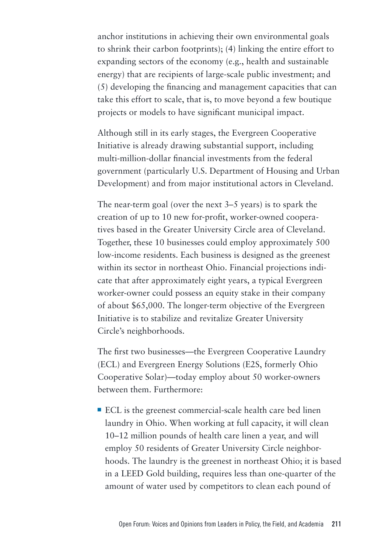anchor institutions in achieving their own environmental goals to shrink their carbon footprints); (4) linking the entire effort to expanding sectors of the economy (e.g., health and sustainable energy) that are recipients of large-scale public investment; and (5) developing the financing and management capacities that can take this effort to scale, that is, to move beyond a few boutique projects or models to have significant municipal impact.

Although still in its early stages, the Evergreen Cooperative Initiative is already drawing substantial support, including multi-million-dollar financial investments from the federal government (particularly U.S. Department of Housing and Urban Development) and from major institutional actors in Cleveland.

The near-term goal (over the next 3–5 years) is to spark the creation of up to 10 new for-profit, worker-owned cooperatives based in the Greater University Circle area of Cleveland. Together, these 10 businesses could employ approximately 500 low-income residents. Each business is designed as the greenest within its sector in northeast Ohio. Financial projections indicate that after approximately eight years, a typical Evergreen worker-owner could possess an equity stake in their company of about \$65,000. The longer-term objective of the Evergreen Initiative is to stabilize and revitalize Greater University Circle's neighborhoods.

The first two businesses—the Evergreen Cooperative Laundry (ECL) and Evergreen Energy Solutions (E2S, formerly Ohio Cooperative Solar)—today employ about 50 worker-owners between them. Furthermore:

■ ECL is the greenest commercial-scale health care bed linen laundry in Ohio. When working at full capacity, it will clean 10–12 million pounds of health care linen a year, and will employ 50 residents of Greater University Circle neighborhoods. The laundry is the greenest in northeast Ohio; it is based in a LEED Gold building, requires less than one-quarter of the amount of water used by competitors to clean each pound of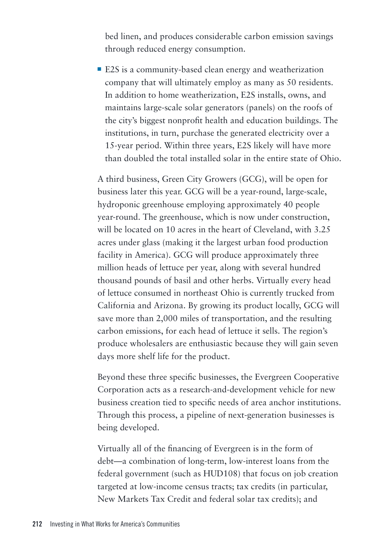bed linen, and produces considerable carbon emission savings through reduced energy consumption.

■ E2S is a community-based clean energy and weatherization company that will ultimately employ as many as 50 residents. In addition to home weatherization, E2S installs, owns, and maintains large-scale solar generators (panels) on the roofs of the city's biggest nonprofit health and education buildings. The institutions, in turn, purchase the generated electricity over a 15-year period. Within three years, E2S likely will have more than doubled the total installed solar in the entire state of Ohio.

A third business, Green City Growers (GCG), will be open for business later this year. GCG will be a year-round, large-scale, hydroponic greenhouse employing approximately 40 people year-round. The greenhouse, which is now under construction, will be located on 10 acres in the heart of Cleveland, with 3.25 acres under glass (making it the largest urban food production facility in America). GCG will produce approximately three million heads of lettuce per year, along with several hundred thousand pounds of basil and other herbs. Virtually every head of lettuce consumed in northeast Ohio is currently trucked from California and Arizona. By growing its product locally, GCG will save more than 2,000 miles of transportation, and the resulting carbon emissions, for each head of lettuce it sells. The region's produce wholesalers are enthusiastic because they will gain seven days more shelf life for the product.

Beyond these three specific businesses, the Evergreen Cooperative Corporation acts as a research-and-development vehicle for new business creation tied to specific needs of area anchor institutions. Through this process, a pipeline of next-generation businesses is being developed.

Virtually all of the financing of Evergreen is in the form of debt—a combination of long-term, low-interest loans from the federal government (such as HUD108) that focus on job creation targeted at low-income census tracts; tax credits (in particular, New Markets Tax Credit and federal solar tax credits); and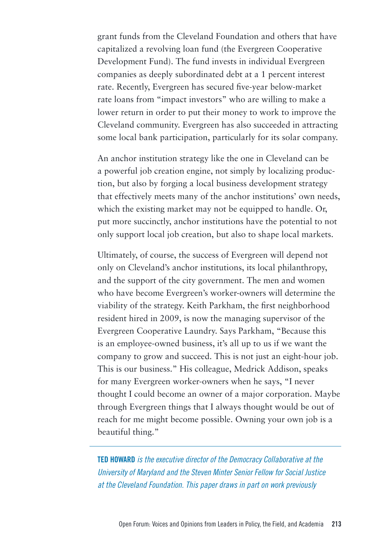grant funds from the Cleveland Foundation and others that have capitalized a revolving loan fund (the Evergreen Cooperative Development Fund). The fund invests in individual Evergreen companies as deeply subordinated debt at a 1 percent interest rate. Recently, Evergreen has secured five-year below-market rate loans from "impact investors" who are willing to make a lower return in order to put their money to work to improve the Cleveland community. Evergreen has also succeeded in attracting some local bank participation, particularly for its solar company.

An anchor institution strategy like the one in Cleveland can be a powerful job creation engine, not simply by localizing production, but also by forging a local business development strategy that effectively meets many of the anchor institutions' own needs, which the existing market may not be equipped to handle. Or, put more succinctly, anchor institutions have the potential to not only support local job creation, but also to shape local markets.

Ultimately, of course, the success of Evergreen will depend not only on Cleveland's anchor institutions, its local philanthropy, and the support of the city government. The men and women who have become Evergreen's worker-owners will determine the viability of the strategy. Keith Parkham, the first neighborhood resident hired in 2009, is now the managing supervisor of the Evergreen Cooperative Laundry. Says Parkham, "Because this is an employee-owned business, it's all up to us if we want the company to grow and succeed. This is not just an eight-hour job. This is our business." His colleague, Medrick Addison, speaks for many Evergreen worker-owners when he says, "I never thought I could become an owner of a major corporation. Maybe through Evergreen things that I always thought would be out of reach for me might become possible. Owning your own job is a beautiful thing."

**Ted Howard** *is the executive director of the Democracy Collaborative at the University of Maryland and the Steven Minter Senior Fellow for Social Justice at the Cleveland Foundation. This paper draws in part on work previously*